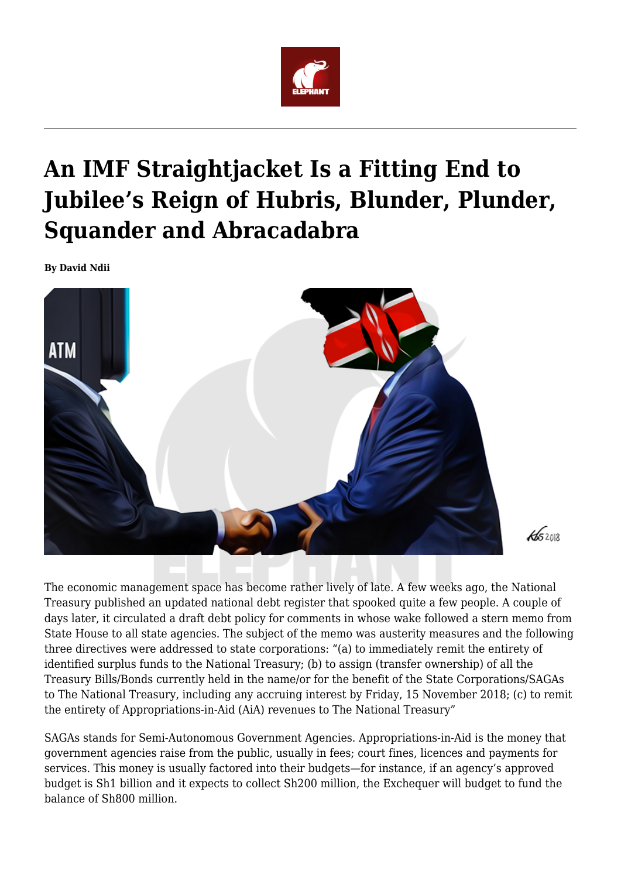

## **An IMF Straightjacket Is a Fitting End to Jubilee's Reign of Hubris, Blunder, Plunder, Squander and Abracadabra**

**By David Ndii**



The economic management space has become rather lively of late. A few weeks ago, the National Treasury published an updated national debt register that spooked quite a few people. A couple of days later, it circulated a draft debt policy for comments in whose wake followed a stern memo from State House to all state agencies. The subject of the memo was austerity measures and the following three directives were addressed to state corporations: "(a) to immediately remit the entirety of identified surplus funds to the National Treasury; (b) to assign (transfer ownership) of all the Treasury Bills/Bonds currently held in the name/or for the benefit of the State Corporations/SAGAs to The National Treasury, including any accruing interest by Friday, 15 November 2018; (c) to remit the entirety of Appropriations-in-Aid (AiA) revenues to The National Treasury"

SAGAs stands for Semi-Autonomous Government Agencies. Appropriations-in-Aid is the money that government agencies raise from the public, usually in fees; court fines, licences and payments for services. This money is usually factored into their budgets—for instance, if an agency's approved budget is Sh1 billion and it expects to collect Sh200 million, the Exchequer will budget to fund the balance of Sh800 million.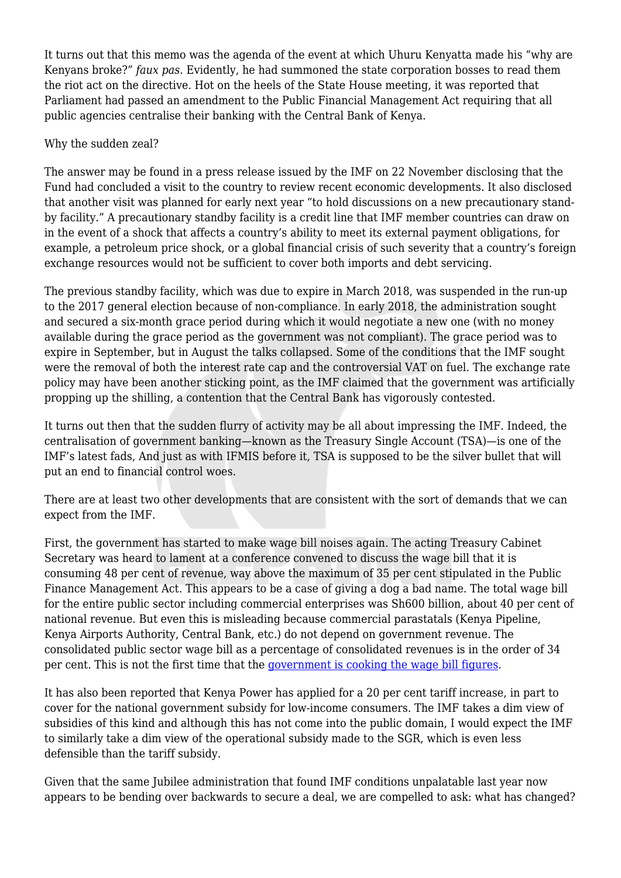It turns out that this memo was the agenda of the event at which Uhuru Kenyatta made his "why are Kenyans broke?" *faux pas.* Evidently, he had summoned the state corporation bosses to read them the riot act on the directive. Hot on the heels of the State House meeting, it was reported that Parliament had passed an amendment to the Public Financial Management Act requiring that all public agencies centralise their banking with the Central Bank of Kenya.

## Why the sudden zeal?

The answer may be found in a press release issued by the IMF on 22 November disclosing that the Fund had concluded a visit to the country to review recent economic developments. It also disclosed that another visit was planned for early next year "to hold discussions on a new precautionary standby facility." A precautionary standby facility is a credit line that IMF member countries can draw on in the event of a shock that affects a country's ability to meet its external payment obligations, for example, a petroleum price shock, or a global financial crisis of such severity that a country's foreign exchange resources would not be sufficient to cover both imports and debt servicing.

The previous standby facility, which was due to expire in March 2018, was suspended in the run-up to the 2017 general election because of non-compliance. In early 2018, the administration sought and secured a six-month grace period during which it would negotiate a new one (with no money available during the grace period as the government was not compliant). The grace period was to expire in September, but in August the talks collapsed. Some of the conditions that the IMF sought were the removal of both the interest rate cap and the controversial VAT on fuel. The exchange rate policy may have been another sticking point, as the IMF claimed that the government was artificially propping up the shilling, a contention that the Central Bank has vigorously contested.

It turns out then that the sudden flurry of activity may be all about impressing the IMF. Indeed, the centralisation of government banking—known as the Treasury Single Account (TSA)—is one of the IMF's latest fads, And just as with IFMIS before it, TSA is supposed to be the silver bullet that will put an end to financial control woes.

There are at least two other developments that are consistent with the sort of demands that we can expect from the IMF.

First, the government has started to make wage bill noises again. The acting Treasury Cabinet Secretary was heard to lament at a conference convened to discuss the wage bill that it is consuming 48 per cent of revenue, way above the maximum of 35 per cent stipulated in the Public Finance Management Act. This appears to be a case of giving a dog a bad name. The total wage bill for the entire public sector including commercial enterprises was Sh600 billion, about 40 per cent of national revenue. But even this is misleading because commercial parastatals (Kenya Pipeline, Kenya Airports Authority, Central Bank, etc.) do not depend on government revenue. The consolidated public sector wage bill as a percentage of consolidated revenues is in the order of 34 per cent. This is not the first time that the [government is cooking the wage bill figures.](https://www.nation.co.ke/oped/opinion/-Fellow-Kenyans--government-is-lying-on-wage-bill/440808-2261266-15nqlmf/index.html)

It has also been reported that Kenya Power has applied for a 20 per cent tariff increase, in part to cover for the national government subsidy for low-income consumers. The IMF takes a dim view of subsidies of this kind and although this has not come into the public domain, I would expect the IMF to similarly take a dim view of the operational subsidy made to the SGR, which is even less defensible than the tariff subsidy.

Given that the same Jubilee administration that found IMF conditions unpalatable last year now appears to be bending over backwards to secure a deal, we are compelled to ask: what has changed?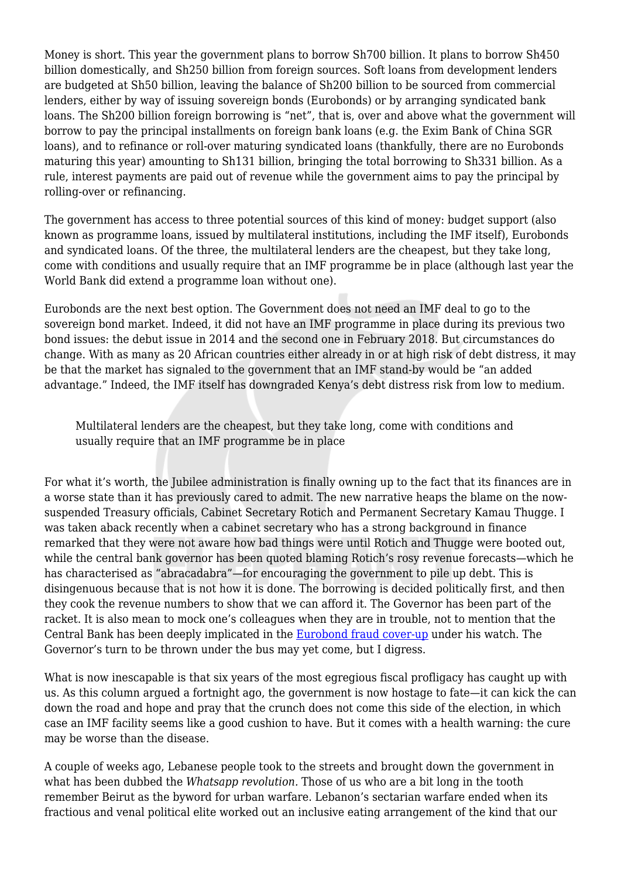Money is short. This year the government plans to borrow Sh700 billion. It plans to borrow Sh450 billion domestically, and Sh250 billion from foreign sources. Soft loans from development lenders are budgeted at Sh50 billion, leaving the balance of Sh200 billion to be sourced from commercial lenders, either by way of issuing sovereign bonds (Eurobonds) or by arranging syndicated bank loans. The Sh200 billion foreign borrowing is "net", that is, over and above what the government will borrow to pay the principal installments on foreign bank loans (e.g. the Exim Bank of China SGR loans), and to refinance or roll-over maturing syndicated loans (thankfully, there are no Eurobonds maturing this year) amounting to Sh131 billion, bringing the total borrowing to Sh331 billion. As a rule, interest payments are paid out of revenue while the government aims to pay the principal by rolling-over or refinancing.

The government has access to three potential sources of this kind of money: budget support (also known as programme loans, issued by multilateral institutions, including the IMF itself), Eurobonds and syndicated loans. Of the three, the multilateral lenders are the cheapest, but they take long, come with conditions and usually require that an IMF programme be in place (although last year the World Bank did extend a programme loan without one).

Eurobonds are the next best option. The Government does not need an IMF deal to go to the sovereign bond market. Indeed, it did not have an IMF programme in place during its previous two bond issues: the debut issue in 2014 and the second one in February 2018. But circumstances do change. With as many as 20 African countries either already in or at high risk of debt distress, it may be that the market has signaled to the government that an IMF stand-by would be "an added advantage." Indeed, the IMF itself has downgraded Kenya's debt distress risk from low to medium.

Multilateral lenders are the cheapest, but they take long, come with conditions and usually require that an IMF programme be in place

For what it's worth, the Jubilee administration is finally owning up to the fact that its finances are in a worse state than it has previously cared to admit. The new narrative heaps the blame on the nowsuspended Treasury officials, Cabinet Secretary Rotich and Permanent Secretary Kamau Thugge. I was taken aback recently when a cabinet secretary who has a strong background in finance remarked that they were not aware how bad things were until Rotich and Thugge were booted out, while the central bank governor has been quoted blaming Rotich's rosy revenue forecasts—which he has characterised as "abracadabra"—for encouraging the government to pile up debt. This is disingenuous because that is not how it is done. The borrowing is decided politically first, and then they cook the revenue numbers to show that we can afford it. The Governor has been part of the racket. It is also mean to mock one's colleagues when they are in trouble, not to mention that the Central Bank has been deeply implicated in the [Eurobond fraud cover-up](https://www.nation.co.ke/oped/opinion/The-international-side-of-story-on-Eurobond-billions/440808-3408892-11365gx/index.html) under his watch. The Governor's turn to be thrown under the bus may yet come, but I digress.

What is now inescapable is that six years of the most egregious fiscal profligacy has caught up with us. As this column argued a fortnight ago, the government is now hostage to fate—it can kick the can down the road and hope and pray that the crunch does not come this side of the election, in which case an IMF facility seems like a good cushion to have. But it comes with a health warning: the cure may be worse than the disease.

A couple of weeks ago, Lebanese people took to the streets and brought down the government in what has been dubbed the *Whatsapp revolution.* Those of us who are a bit long in the tooth remember Beirut as the byword for urban warfare. Lebanon's sectarian warfare ended when its fractious and venal political elite worked out an inclusive eating arrangement of the kind that our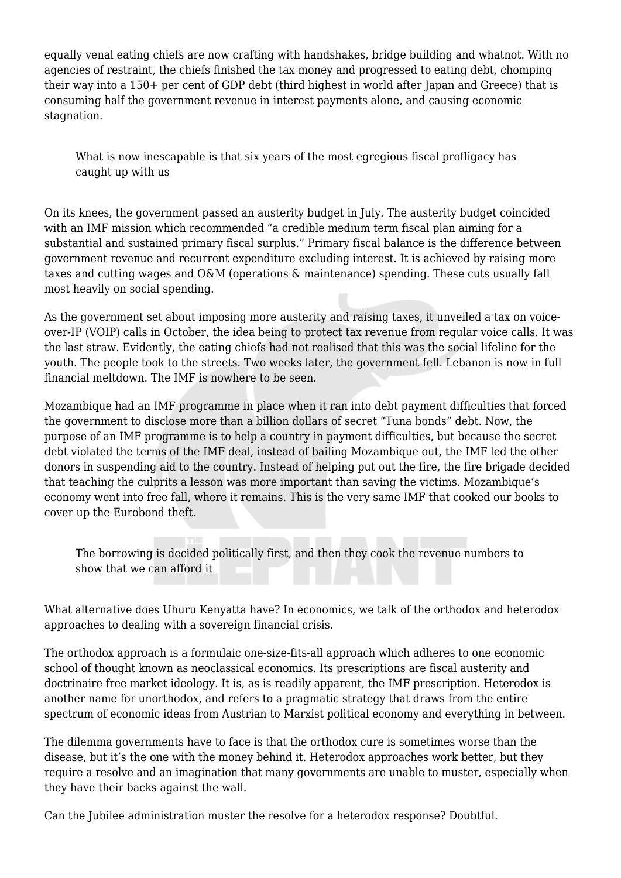equally venal eating chiefs are now crafting with handshakes, bridge building and whatnot. With no agencies of restraint, the chiefs finished the tax money and progressed to eating debt, chomping their way into a 150+ per cent of GDP debt (third highest in world after Japan and Greece) that is consuming half the government revenue in interest payments alone, and causing economic stagnation.

What is now inescapable is that six years of the most egregious fiscal profligacy has caught up with us

On its knees, the government passed an austerity budget in July. The austerity budget coincided with an IMF mission which recommended "a credible medium term fiscal plan aiming for a substantial and sustained primary fiscal surplus." Primary fiscal balance is the difference between government revenue and recurrent expenditure excluding interest. It is achieved by raising more taxes and cutting wages and O&M (operations & maintenance) spending. These cuts usually fall most heavily on social spending.

As the government set about imposing more austerity and raising taxes, it unveiled a tax on voiceover-IP (VOIP) calls in October, the idea being to protect tax revenue from regular voice calls. It was the last straw. Evidently, the eating chiefs had not realised that this was the social lifeline for the youth. The people took to the streets. Two weeks later, the government fell. Lebanon is now in full financial meltdown. The IMF is nowhere to be seen.

Mozambique had an IMF programme in place when it ran into debt payment difficulties that forced the government to disclose more than a billion dollars of secret "Tuna bonds" debt. Now, the purpose of an IMF programme is to help a country in payment difficulties, but because the secret debt violated the terms of the IMF deal, instead of bailing Mozambique out, the IMF led the other donors in suspending aid to the country. Instead of helping put out the fire, the fire brigade decided that teaching the culprits a lesson was more important than saving the victims. Mozambique's economy went into free fall, where it remains. This is the very same IMF that cooked our books to cover up the Eurobond theft.

The borrowing is decided politically first, and then they cook the revenue numbers to show that we can afford it

What alternative does Uhuru Kenyatta have? In economics, we talk of the orthodox and heterodox approaches to dealing with a sovereign financial crisis.

The orthodox approach is a formulaic one-size-fits-all approach which adheres to one economic school of thought known as neoclassical economics. Its prescriptions are fiscal austerity and doctrinaire free market ideology. It is, as is readily apparent, the IMF prescription. Heterodox is another name for unorthodox, and refers to a pragmatic strategy that draws from the entire spectrum of economic ideas from Austrian to Marxist political economy and everything in between.

The dilemma governments have to face is that the orthodox cure is sometimes worse than the disease, but it's the one with the money behind it. Heterodox approaches work better, but they require a resolve and an imagination that many governments are unable to muster, especially when they have their backs against the wall.

Can the Jubilee administration muster the resolve for a heterodox response? Doubtful.